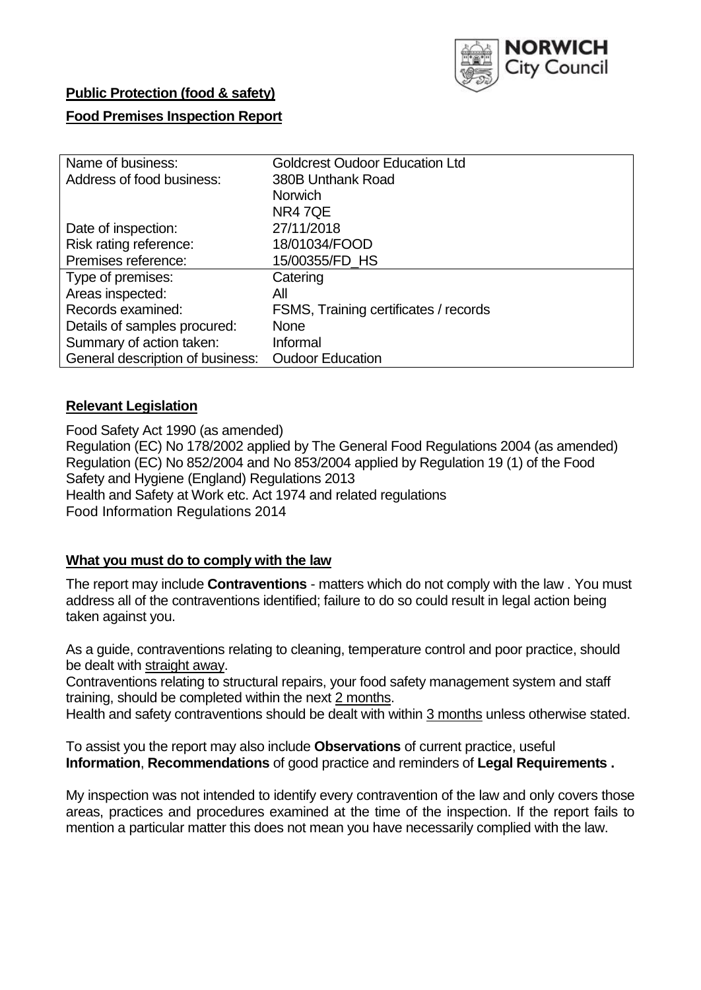

## **Public Protection (food & safety)**

## **Food Premises Inspection Report**

| Name of business:                | <b>Goldcrest Oudoor Education Ltd</b> |
|----------------------------------|---------------------------------------|
| Address of food business:        | 380B Unthank Road                     |
|                                  | <b>Norwich</b>                        |
|                                  | NR47QE                                |
| Date of inspection:              | 27/11/2018                            |
| Risk rating reference:           | 18/01034/FOOD                         |
| Premises reference:              | 15/00355/FD HS                        |
| Type of premises:                | Catering                              |
| Areas inspected:                 | All                                   |
| Records examined:                | FSMS, Training certificates / records |
| Details of samples procured:     | None                                  |
| Summary of action taken:         | Informal                              |
| General description of business: | <b>Oudoor Education</b>               |

#### **Relevant Legislation**

Food Safety Act 1990 (as amended) Regulation (EC) No 178/2002 applied by The General Food Regulations 2004 (as amended) Regulation (EC) No 852/2004 and No 853/2004 applied by Regulation 19 (1) of the Food Safety and Hygiene (England) Regulations 2013 Health and Safety at Work etc. Act 1974 and related regulations Food Information Regulations 2014

#### **What you must do to comply with the law**

The report may include **Contraventions** - matters which do not comply with the law . You must address all of the contraventions identified; failure to do so could result in legal action being taken against you.

As a guide, contraventions relating to cleaning, temperature control and poor practice, should be dealt with straight away.

Contraventions relating to structural repairs, your food safety management system and staff training, should be completed within the next 2 months.

Health and safety contraventions should be dealt with within 3 months unless otherwise stated.

To assist you the report may also include **Observations** of current practice, useful **Information**, **Recommendations** of good practice and reminders of **Legal Requirements .**

My inspection was not intended to identify every contravention of the law and only covers those areas, practices and procedures examined at the time of the inspection. If the report fails to mention a particular matter this does not mean you have necessarily complied with the law.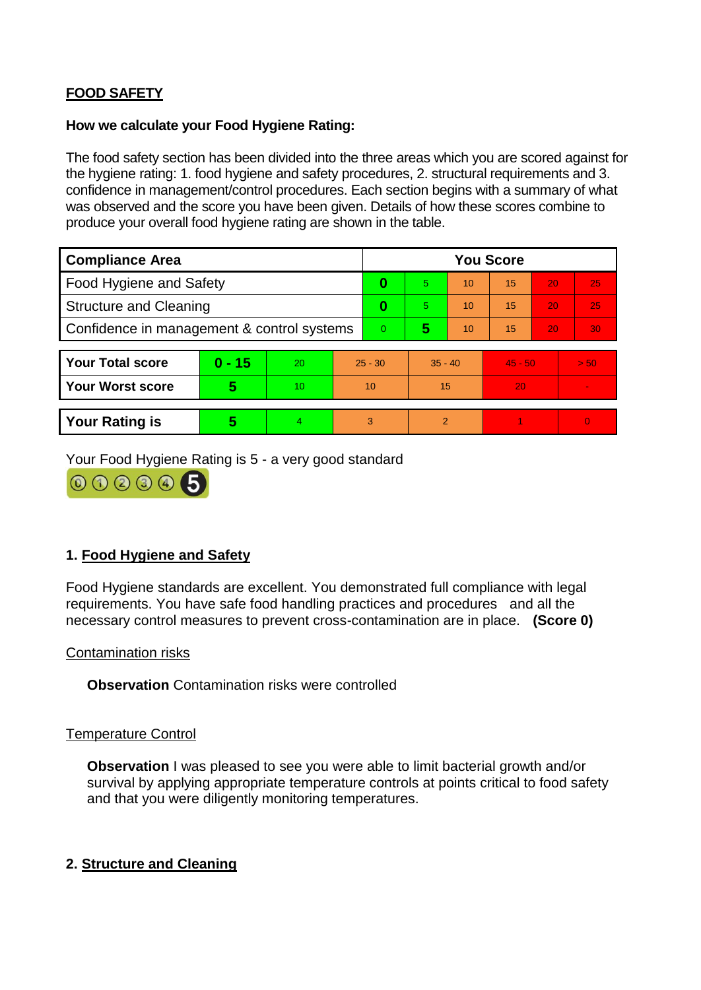# **FOOD SAFETY**

#### **How we calculate your Food Hygiene Rating:**

The food safety section has been divided into the three areas which you are scored against for the hygiene rating: 1. food hygiene and safety procedures, 2. structural requirements and 3. confidence in management/control procedures. Each section begins with a summary of what was observed and the score you have been given. Details of how these scores combine to produce your overall food hygiene rating are shown in the table.

| <b>Compliance Area</b>                     |          |    |           | <b>You Score</b> |                |    |           |    |                |  |  |
|--------------------------------------------|----------|----|-----------|------------------|----------------|----|-----------|----|----------------|--|--|
| Food Hygiene and Safety                    |          |    |           | 0                | 5              | 10 | 15        | 20 | 25             |  |  |
| <b>Structure and Cleaning</b>              |          |    | $\bf{0}$  | 5                | 10             | 15 | 20        | 25 |                |  |  |
| Confidence in management & control systems |          |    | $\Omega$  | 5                | 10             | 15 | 20        | 30 |                |  |  |
|                                            |          |    |           |                  |                |    |           |    |                |  |  |
| <b>Your Total score</b>                    | $0 - 15$ | 20 | $25 - 30$ |                  | $35 - 40$      |    | $45 - 50$ |    | > 50           |  |  |
| <b>Your Worst score</b>                    | 5        | 10 | 10        |                  | 15             |    | 20        |    | $\blacksquare$ |  |  |
|                                            |          |    |           |                  |                |    |           |    |                |  |  |
| <b>Your Rating is</b>                      | 5        | 4  | 3         |                  | $\overline{2}$ |    |           |    | $\Omega$       |  |  |

Your Food Hygiene Rating is 5 - a very good standard



## **1. Food Hygiene and Safety**

Food Hygiene standards are excellent. You demonstrated full compliance with legal requirements. You have safe food handling practices and procedures and all the necessary control measures to prevent cross-contamination are in place. **(Score 0)**

#### Contamination risks

**Observation** Contamination risks were controlled

#### Temperature Control

**Observation** I was pleased to see you were able to limit bacterial growth and/or survival by applying appropriate temperature controls at points critical to food safety and that you were diligently monitoring temperatures.

## **2. Structure and Cleaning**